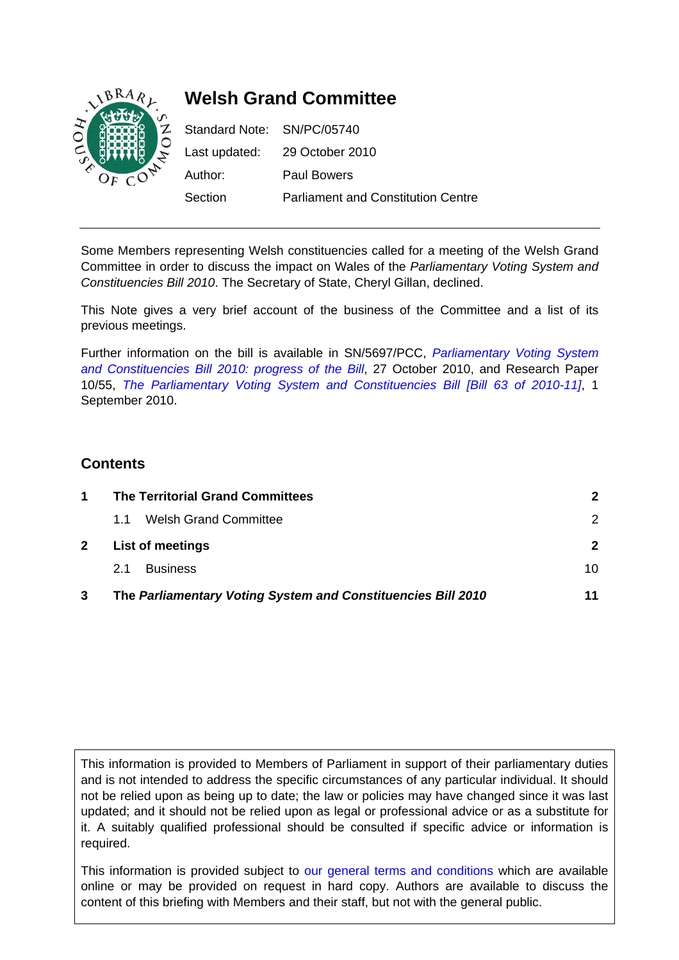

Some Members representing Welsh constituencies called for a meeting of the Welsh Grand Committee in order to discuss the impact on Wales of the *Parliamentary Voting System and Constituencies Bill 2010*. The Secretary of State, Cheryl Gillan, declined.

This Note gives a very brief account of the business of the Committee and a list of its previous meetings.

Further information on the bill is available in SN/5697/PCC, *[Parliamentary Voting System](http://www.parliament.uk/documents/commons/lib/research/briefings/snpc-05697.pdf)  [and Constituencies Bill 2010: progress of the Bill](http://www.parliament.uk/documents/commons/lib/research/briefings/snpc-05697.pdf)*, 27 October 2010, and Research Paper 10/55, *[The Parliamentary Voting System and Constituencies Bill \[Bill 63 of 2010-11\]](http://www.parliament.uk/documents/commons/lib/research/rp2010/RP10-055.pdf)*, 1 September 2010.

## **Contents**

| 1            | <b>The Territorial Grand Committees</b>                      |               |  |  |
|--------------|--------------------------------------------------------------|---------------|--|--|
|              | <b>Welsh Grand Committee</b><br>1.1                          | $\mathcal{P}$ |  |  |
| $\mathbf{2}$ | <b>List of meetings</b>                                      |               |  |  |
|              | <b>Business</b><br>2.1                                       | 10            |  |  |
| 3            | The Parliamentary Voting System and Constituencies Bill 2010 | 11            |  |  |

This information is provided to Members of Parliament in support of their parliamentary duties and is not intended to address the specific circumstances of any particular individual. It should not be relied upon as being up to date; the law or policies may have changed since it was last updated; and it should not be relied upon as legal or professional advice or as a substitute for it. A suitably qualified professional should be consulted if specific advice or information is required.

This information is provided subject to [our general terms and conditions](http://www.parliament.uk/site_information/parliamentary_copyright.cfm) which are available online or may be provided on request in hard copy. Authors are available to discuss the content of this briefing with Members and their staff, but not with the general public.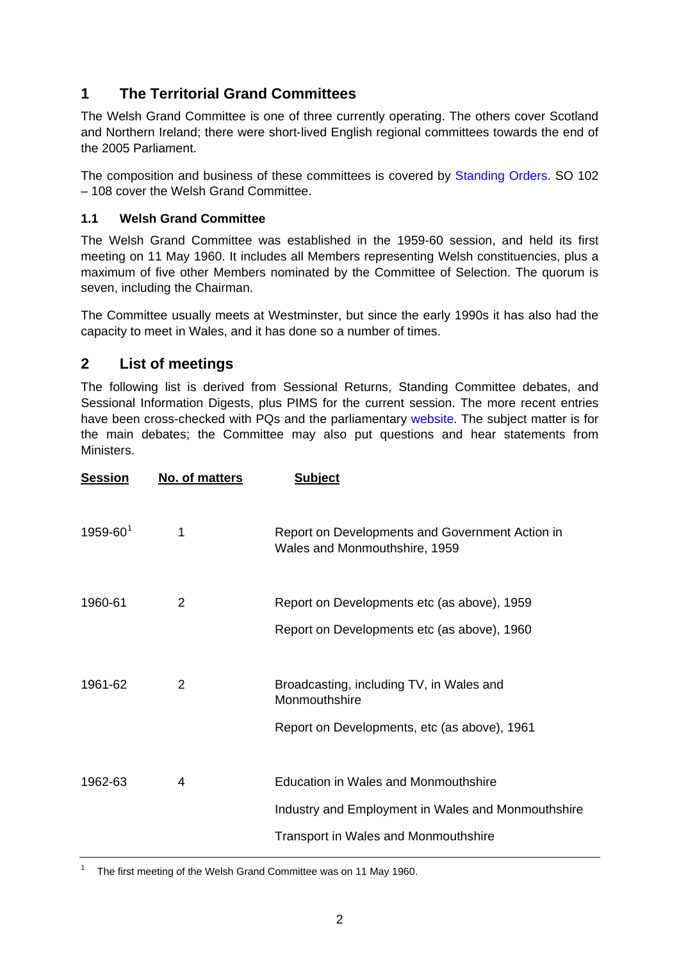## <span id="page-1-0"></span>**1 The Territorial Grand Committees**

The Welsh Grand Committee is one of three currently operating. The others cover Scotland and Northern Ireland; there were short-lived English regional committees towards the end of the 2005 Parliament.

The composition and business of these committees is covered by [Standing Orders.](http://www.publications.parliament.uk/pa/cm200910/cmstords/539/539.pdf) SO 102 – 108 cover the Welsh Grand Committee.

### **1.1 Welsh Grand Committee**

The Welsh Grand Committee was established in the 1959-60 session, and held its first meeting on 11 May 1960. It includes all Members representing Welsh constituencies, plus a maximum of five other Members nominated by the Committee of Selection. The quorum is seven, including the Chairman.

The Committee usually meets at Westminster, but since the early 1990s it has also had the capacity to meet in Wales, and it has done so a number of times.

### **2 List of meetings**

The following list is derived from Sessional Returns, Standing Committee debates, and Sessional Information Digests, plus PIMS for the current session. The more recent entries have been cross-checked with PQs and the parliamentary [website.](http://www.publications.parliament.uk/pa/cm/othstn.htm) The subject matter is for the main debates; the Committee may also put questions and hear statements from Ministers.

| <b>Session</b>  | No. of matters | <b>Subject</b>                                                                                                                                   |
|-----------------|----------------|--------------------------------------------------------------------------------------------------------------------------------------------------|
| $1959 - 60^{1}$ | 1              | Report on Developments and Government Action in<br>Wales and Monmouthshire, 1959                                                                 |
| 1960-61         | 2              | Report on Developments etc (as above), 1959<br>Report on Developments etc (as above), 1960                                                       |
| 1961-62         | $\mathcal{P}$  | Broadcasting, including TV, in Wales and<br>Monmouthshire<br>Report on Developments, etc (as above), 1961                                        |
| 1962-63         | 4              | <b>Education in Wales and Monmouthshire</b><br>Industry and Employment in Wales and Monmouthshire<br><b>Transport in Wales and Monmouthshire</b> |
|                 |                |                                                                                                                                                  |

<span id="page-1-1"></span>1 The first meeting of the Welsh Grand Committee was on 11 May 1960.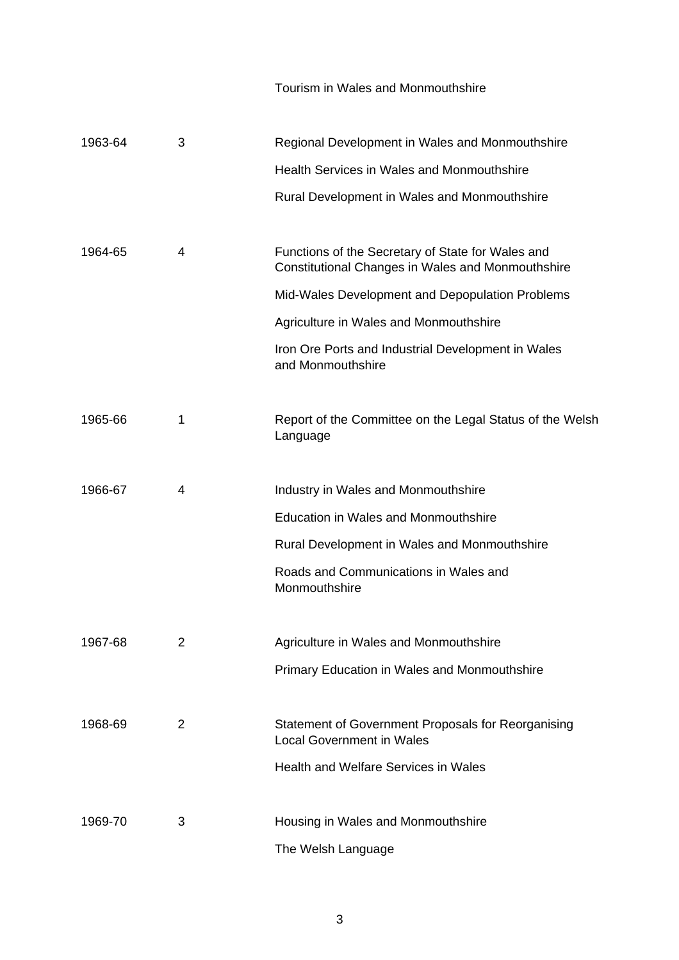Tourism in Wales and Monmouthshire

| 1963-64 | 3 | Regional Development in Wales and Monmouthshire                                                               |
|---------|---|---------------------------------------------------------------------------------------------------------------|
|         |   | Health Services in Wales and Monmouthshire                                                                    |
|         |   | Rural Development in Wales and Monmouthshire                                                                  |
| 1964-65 | 4 | Functions of the Secretary of State for Wales and<br><b>Constitutional Changes in Wales and Monmouthshire</b> |
|         |   | Mid-Wales Development and Depopulation Problems                                                               |
|         |   | Agriculture in Wales and Monmouthshire                                                                        |
|         |   | Iron Ore Ports and Industrial Development in Wales<br>and Monmouthshire                                       |
| 1965-66 | 1 | Report of the Committee on the Legal Status of the Welsh<br>Language                                          |
| 1966-67 | 4 | Industry in Wales and Monmouthshire                                                                           |
|         |   | <b>Education in Wales and Monmouthshire</b>                                                                   |
|         |   | Rural Development in Wales and Monmouthshire                                                                  |
|         |   | Roads and Communications in Wales and<br>Monmouthshire                                                        |
|         |   |                                                                                                               |
| 1967-68 | 2 | Agriculture in Wales and Monmouthshire                                                                        |
|         |   | <b>Primary Education in Wales and Monmouthshire</b>                                                           |
| 1968-69 | 2 | Statement of Government Proposals for Reorganising<br><b>Local Government in Wales</b>                        |
|         |   | <b>Health and Welfare Services in Wales</b>                                                                   |
| 1969-70 | 3 | Housing in Wales and Monmouthshire                                                                            |
|         |   | The Welsh Language                                                                                            |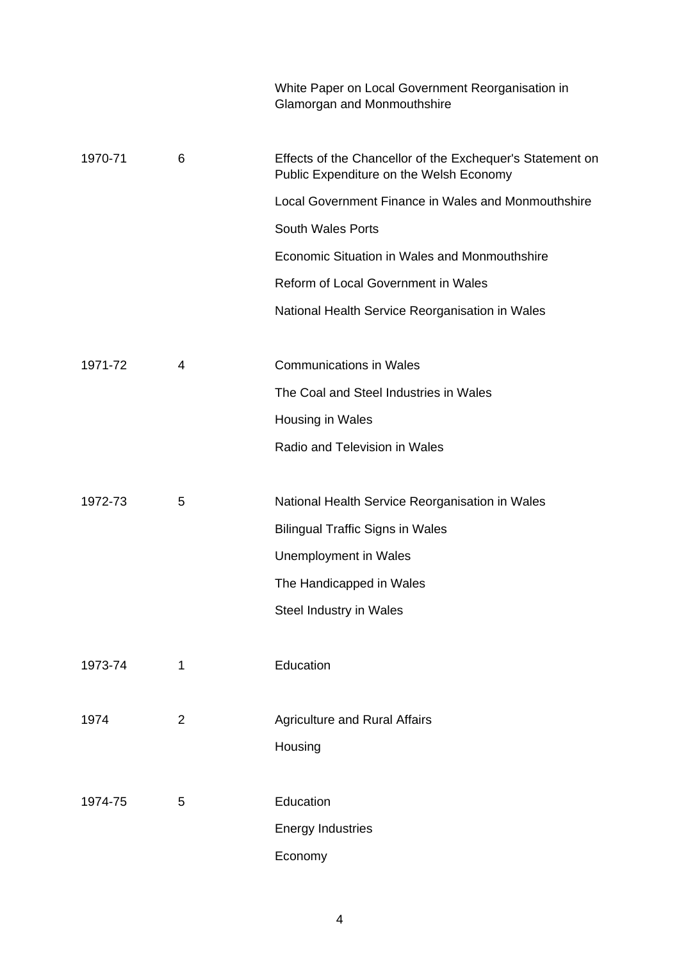|         |                | White Paper on Local Government Reorganisation in<br>Glamorgan and Monmouthshire                     |
|---------|----------------|------------------------------------------------------------------------------------------------------|
| 1970-71 | 6              | Effects of the Chancellor of the Exchequer's Statement on<br>Public Expenditure on the Welsh Economy |
|         |                | Local Government Finance in Wales and Monmouthshire                                                  |
|         |                | <b>South Wales Ports</b>                                                                             |
|         |                | Economic Situation in Wales and Monmouthshire                                                        |
|         |                | Reform of Local Government in Wales                                                                  |
|         |                | National Health Service Reorganisation in Wales                                                      |
| 1971-72 | 4              | <b>Communications in Wales</b>                                                                       |
|         |                | The Coal and Steel Industries in Wales                                                               |
|         |                | Housing in Wales                                                                                     |
|         |                | Radio and Television in Wales                                                                        |
| 1972-73 | 5              | National Health Service Reorganisation in Wales                                                      |
|         |                | <b>Bilingual Traffic Signs in Wales</b>                                                              |
|         |                | Unemployment in Wales                                                                                |
|         |                | The Handicapped in Wales                                                                             |
|         |                | Steel Industry in Wales                                                                              |
| 1973-74 | 1              | Education                                                                                            |
| 1974    | $\overline{2}$ | <b>Agriculture and Rural Affairs</b>                                                                 |
|         |                | Housing                                                                                              |
| 1974-75 | 5              | Education                                                                                            |
|         |                | <b>Energy Industries</b>                                                                             |
|         |                | Economy                                                                                              |
|         |                |                                                                                                      |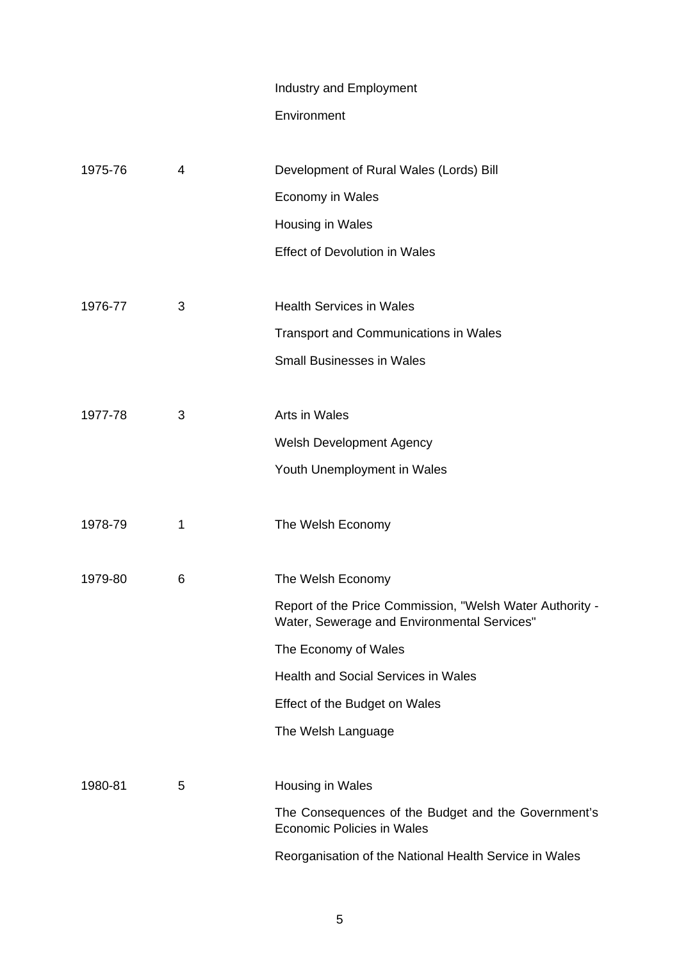# Industry and Employment

## Environment

| 1975-76 | 4 | Development of Rural Wales (Lords) Bill                                                                 |
|---------|---|---------------------------------------------------------------------------------------------------------|
|         |   | Economy in Wales                                                                                        |
|         |   | Housing in Wales                                                                                        |
|         |   | <b>Effect of Devolution in Wales</b>                                                                    |
|         |   |                                                                                                         |
| 1976-77 | 3 | <b>Health Services in Wales</b>                                                                         |
|         |   | <b>Transport and Communications in Wales</b>                                                            |
|         |   | <b>Small Businesses in Wales</b>                                                                        |
|         |   |                                                                                                         |
| 1977-78 | 3 | Arts in Wales                                                                                           |
|         |   | <b>Welsh Development Agency</b>                                                                         |
|         |   | Youth Unemployment in Wales                                                                             |
|         |   |                                                                                                         |
| 1978-79 | 1 | The Welsh Economy                                                                                       |
|         |   |                                                                                                         |
| 1979-80 | 6 | The Welsh Economy                                                                                       |
|         |   | Report of the Price Commission, "Welsh Water Authority -<br>Water, Sewerage and Environmental Services" |
|         |   | The Economy of Wales                                                                                    |
|         |   | Health and Social Services in Wales                                                                     |
|         |   | Effect of the Budget on Wales                                                                           |
|         |   | The Welsh Language                                                                                      |
|         |   |                                                                                                         |
| 1980-81 | 5 | Housing in Wales                                                                                        |
|         |   | The Consequences of the Budget and the Government's<br><b>Economic Policies in Wales</b>                |
|         |   | Reorganisation of the National Health Service in Wales                                                  |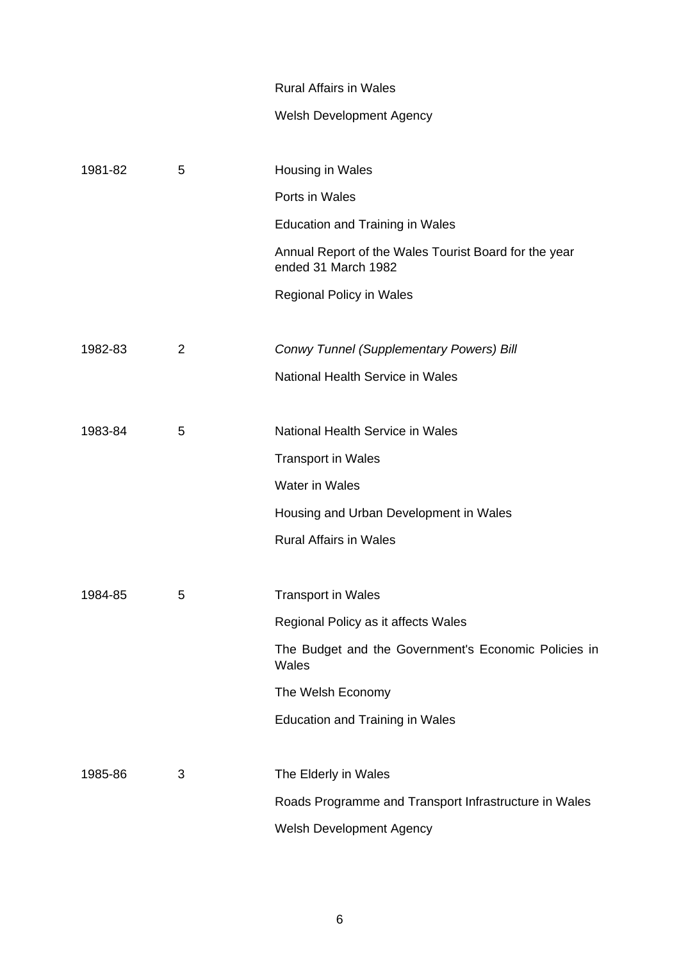#### Rural Affairs in Wales

## Welsh Development Agency

| 1981-82 | 5              | Housing in Wales                                                             |
|---------|----------------|------------------------------------------------------------------------------|
|         |                | Ports in Wales                                                               |
|         |                | <b>Education and Training in Wales</b>                                       |
|         |                | Annual Report of the Wales Tourist Board for the year<br>ended 31 March 1982 |
|         |                | <b>Regional Policy in Wales</b>                                              |
|         |                |                                                                              |
| 1982-83 | $\overline{2}$ | Conwy Tunnel (Supplementary Powers) Bill                                     |
|         |                | National Health Service in Wales                                             |
|         |                |                                                                              |
| 1983-84 | 5              | National Health Service in Wales                                             |
|         |                | <b>Transport in Wales</b>                                                    |
|         |                | <b>Water in Wales</b>                                                        |
|         |                | Housing and Urban Development in Wales                                       |
|         |                | <b>Rural Affairs in Wales</b>                                                |
|         |                |                                                                              |
| 1984-85 | 5              | <b>Transport in Wales</b>                                                    |
|         |                | Regional Policy as it affects Wales                                          |
|         |                | The Budget and the Government's Economic Policies in<br>Wales                |
|         |                | The Welsh Economy                                                            |
|         |                | <b>Education and Training in Wales</b>                                       |
|         |                |                                                                              |
| 1985-86 | 3              | The Elderly in Wales                                                         |
|         |                | Roads Programme and Transport Infrastructure in Wales                        |
|         |                | Welsh Development Agency                                                     |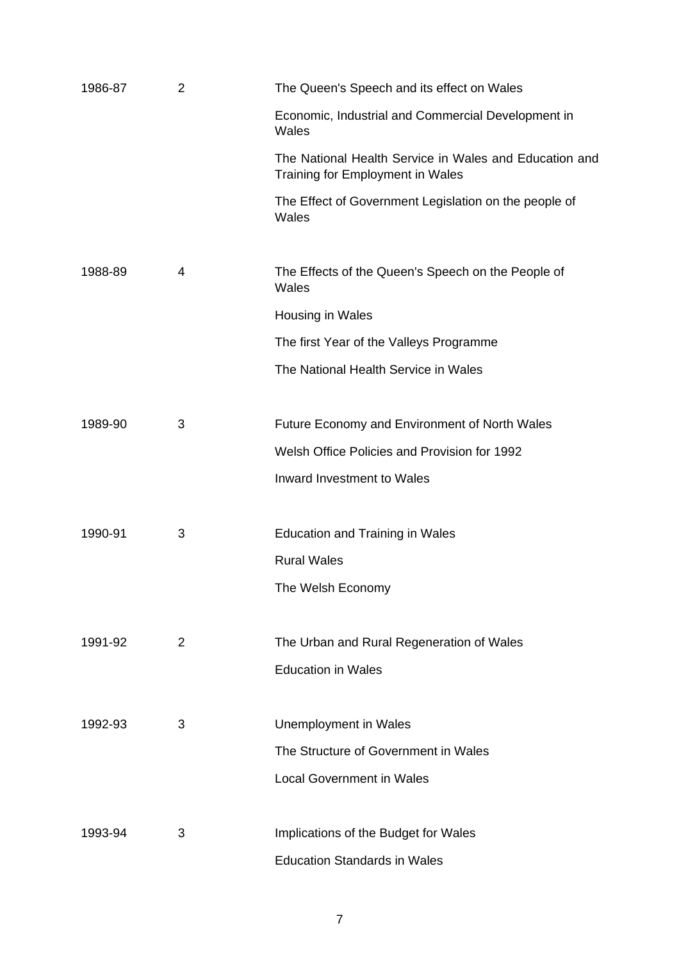| 1986-87 | $\overline{2}$ | The Queen's Speech and its effect on Wales                                                 |
|---------|----------------|--------------------------------------------------------------------------------------------|
|         |                | Economic, Industrial and Commercial Development in<br>Wales                                |
|         |                | The National Health Service in Wales and Education and<br>Training for Employment in Wales |
|         |                | The Effect of Government Legislation on the people of<br>Wales                             |
| 1988-89 | 4              | The Effects of the Queen's Speech on the People of<br>Wales                                |
|         |                | Housing in Wales                                                                           |
|         |                | The first Year of the Valleys Programme                                                    |
|         |                | The National Health Service in Wales                                                       |
| 1989-90 | 3              | Future Economy and Environment of North Wales                                              |
|         |                | Welsh Office Policies and Provision for 1992                                               |
|         |                | Inward Investment to Wales                                                                 |
| 1990-91 | 3              | <b>Education and Training in Wales</b>                                                     |
|         |                | <b>Rural Wales</b>                                                                         |
|         |                | The Welsh Economy                                                                          |
| 1991-92 | $\overline{2}$ | The Urban and Rural Regeneration of Wales                                                  |
|         |                | <b>Education in Wales</b>                                                                  |
| 1992-93 | 3              | <b>Unemployment in Wales</b>                                                               |
|         |                | The Structure of Government in Wales                                                       |
|         |                | <b>Local Government in Wales</b>                                                           |
| 1993-94 | 3              | Implications of the Budget for Wales                                                       |
|         |                | <b>Education Standards in Wales</b>                                                        |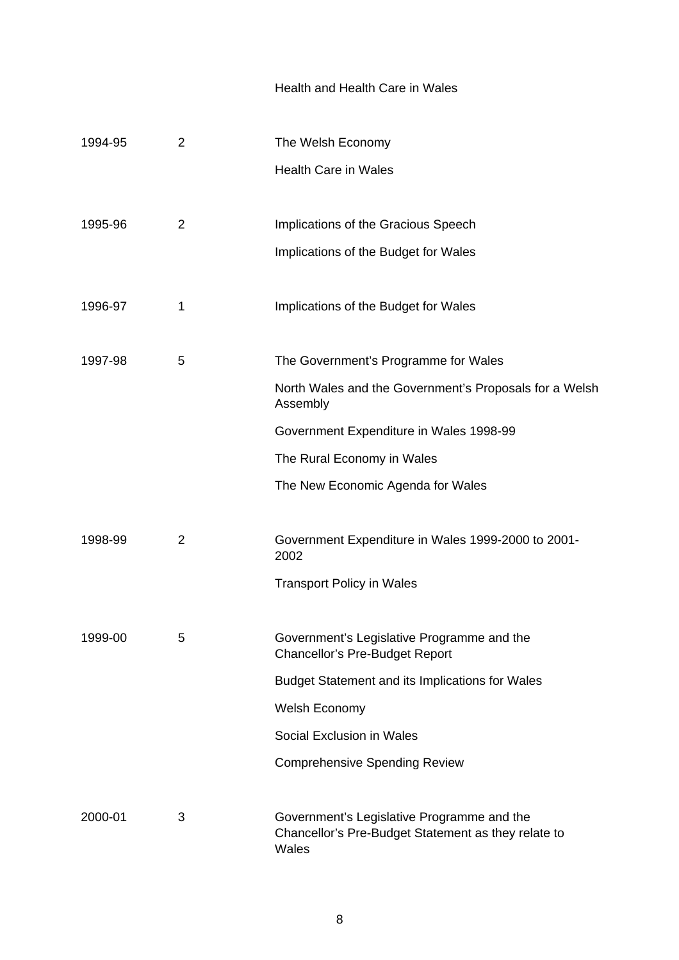#### Health and Health Care in Wales

| 1994-95 | $\overline{2}$ | The Welsh Economy                                                                                          |
|---------|----------------|------------------------------------------------------------------------------------------------------------|
|         |                | <b>Health Care in Wales</b>                                                                                |
|         |                |                                                                                                            |
| 1995-96 | $\overline{2}$ | Implications of the Gracious Speech                                                                        |
|         |                | Implications of the Budget for Wales                                                                       |
|         |                |                                                                                                            |
| 1996-97 | 1              | Implications of the Budget for Wales                                                                       |
|         |                |                                                                                                            |
| 1997-98 | 5              | The Government's Programme for Wales                                                                       |
|         |                | North Wales and the Government's Proposals for a Welsh<br>Assembly                                         |
|         |                | Government Expenditure in Wales 1998-99                                                                    |
|         |                | The Rural Economy in Wales                                                                                 |
|         |                | The New Economic Agenda for Wales                                                                          |
|         |                |                                                                                                            |
| 1998-99 | $\overline{2}$ | Government Expenditure in Wales 1999-2000 to 2001-<br>2002                                                 |
|         |                | <b>Transport Policy in Wales</b>                                                                           |
|         |                |                                                                                                            |
| 1999-00 | 5              | Government's Legislative Programme and the<br><b>Chancellor's Pre-Budget Report</b>                        |
|         |                | <b>Budget Statement and its Implications for Wales</b>                                                     |
|         |                | Welsh Economy                                                                                              |
|         |                | Social Exclusion in Wales                                                                                  |
|         |                | <b>Comprehensive Spending Review</b>                                                                       |
|         |                |                                                                                                            |
| 2000-01 | 3              | Government's Legislative Programme and the<br>Chancellor's Pre-Budget Statement as they relate to<br>Wales |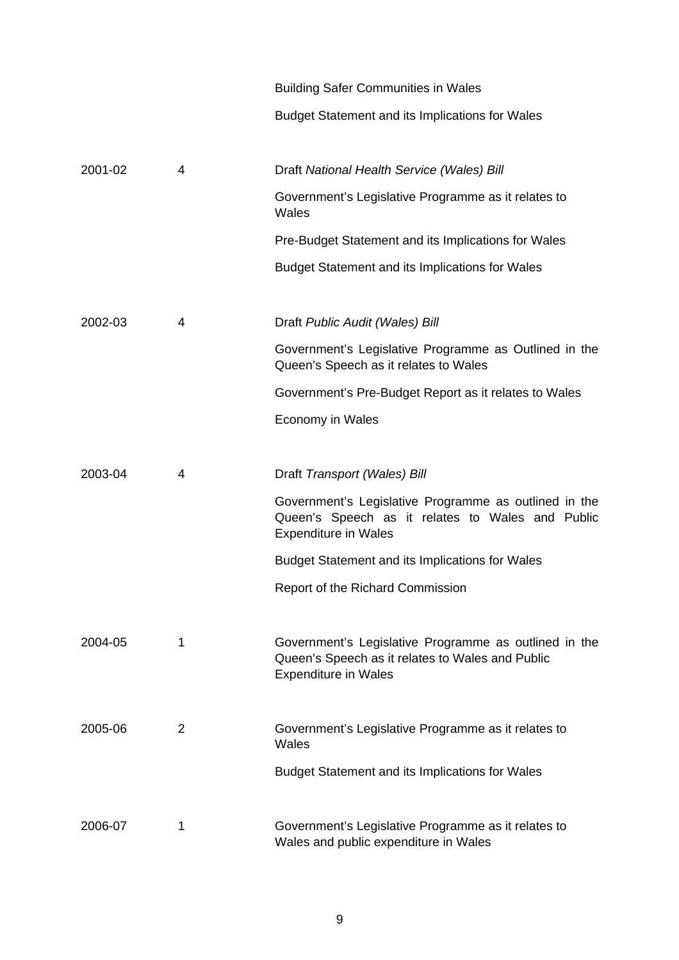|         |   | <b>Building Safer Communities in Wales</b>                                                                                               |
|---------|---|------------------------------------------------------------------------------------------------------------------------------------------|
|         |   | <b>Budget Statement and its Implications for Wales</b>                                                                                   |
|         |   |                                                                                                                                          |
| 2001-02 | 4 | Draft National Health Service (Wales) Bill                                                                                               |
|         |   | Government's Legislative Programme as it relates to<br>Wales                                                                             |
|         |   | Pre-Budget Statement and its Implications for Wales                                                                                      |
|         |   | <b>Budget Statement and its Implications for Wales</b>                                                                                   |
|         |   |                                                                                                                                          |
| 2002-03 | 4 | Draft Public Audit (Wales) Bill                                                                                                          |
|         |   | Government's Legislative Programme as Outlined in the<br>Queen's Speech as it relates to Wales                                           |
|         |   | Government's Pre-Budget Report as it relates to Wales                                                                                    |
|         |   | Economy in Wales                                                                                                                         |
|         |   |                                                                                                                                          |
| 2003-04 | 4 | Draft Transport (Wales) Bill                                                                                                             |
|         |   | Government's Legislative Programme as outlined in the<br>Queen's Speech as it relates to Wales and Public<br><b>Expenditure in Wales</b> |
|         |   | <b>Budget Statement and its Implications for Wales</b>                                                                                   |
|         |   | Report of the Richard Commission                                                                                                         |
|         |   |                                                                                                                                          |
| 2004-05 | 1 | Government's Legislative Programme as outlined in the<br>Queen's Speech as it relates to Wales and Public<br><b>Expenditure in Wales</b> |
|         |   |                                                                                                                                          |
| 2005-06 | 2 | Government's Legislative Programme as it relates to<br>Wales                                                                             |
|         |   | <b>Budget Statement and its Implications for Wales</b>                                                                                   |
|         |   |                                                                                                                                          |
| 2006-07 | 1 | Government's Legislative Programme as it relates to<br>Wales and public expenditure in Wales                                             |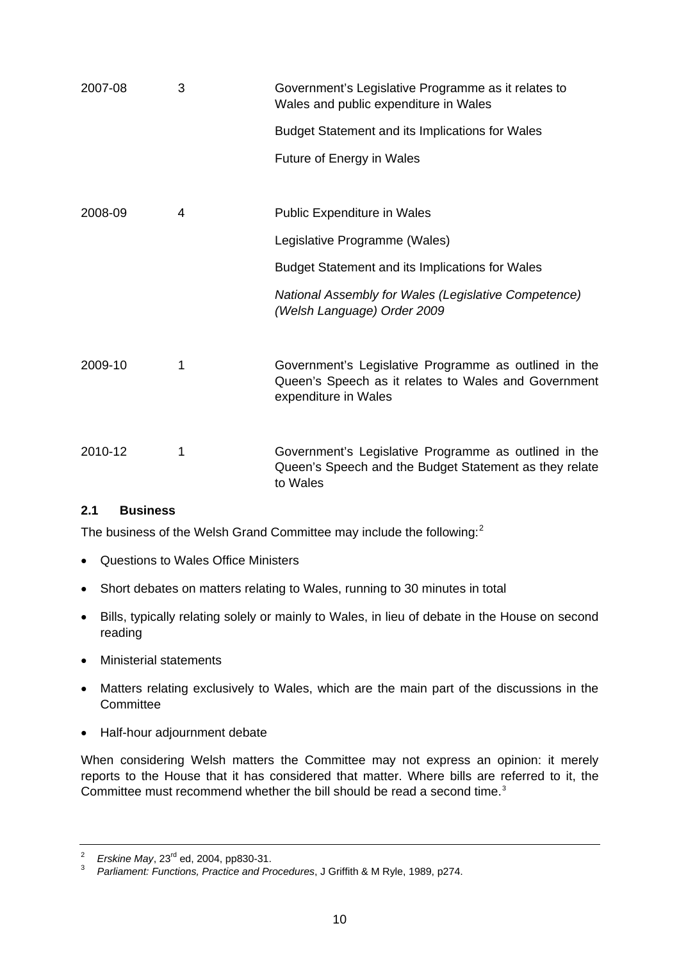<span id="page-9-0"></span>

| 2007-08 | 3 | Government's Legislative Programme as it relates to<br>Wales and public expenditure in Wales                                          |
|---------|---|---------------------------------------------------------------------------------------------------------------------------------------|
|         |   | <b>Budget Statement and its Implications for Wales</b>                                                                                |
|         |   | <b>Future of Energy in Wales</b>                                                                                                      |
|         |   |                                                                                                                                       |
| 2008-09 | 4 | <b>Public Expenditure in Wales</b>                                                                                                    |
|         |   | Legislative Programme (Wales)                                                                                                         |
|         |   | <b>Budget Statement and its Implications for Wales</b>                                                                                |
|         |   | National Assembly for Wales (Legislative Competence)<br>(Welsh Language) Order 2009                                                   |
| 2009-10 | 1 | Government's Legislative Programme as outlined in the<br>Queen's Speech as it relates to Wales and Government<br>expenditure in Wales |
| 2010-12 | 1 | Government's Legislative Programme as outlined in the<br>Queen's Speech and the Budget Statement as they relate<br>to Wales           |

#### **2.1 Business**

The business of the Welsh Grand Committee may include the following:<sup>[2](#page-9-1)</sup>

- Questions to Wales Office Ministers
- Short debates on matters relating to Wales, running to 30 minutes in total
- Bills, typically relating solely or mainly to Wales, in lieu of debate in the House on second reading
- Ministerial statements
- Matters relating exclusively to Wales, which are the main part of the discussions in the **Committee**
- Half-hour adjournment debate

When considering Welsh matters the Committee may not express an opinion: it merely reports to the House that it has considered that matter. Where bills are referred to it, the Committee must recommend whether the bill should be read a second time.<sup>[3](#page-9-2)</sup>

<span id="page-9-1"></span><sup>2</sup> <sup>2</sup> Erskine May, 23<sup>rd</sup> ed, 2004, pp830-31.<br><sup>3</sup> Perliament: Eunational Prostice and Pr

<span id="page-9-2"></span>*Parliament: Functions, Practice and Procedures*, J Griffith & M Ryle, 1989, p274.